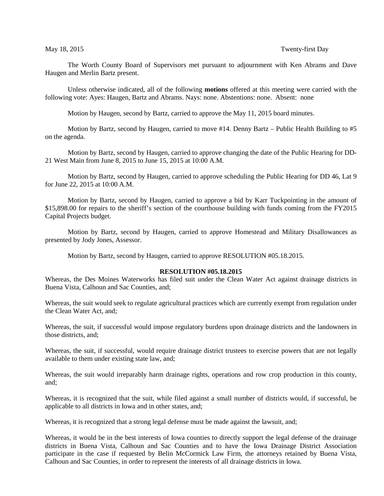## May 18, 2015 Twenty-first Day

The Worth County Board of Supervisors met pursuant to adjournment with Ken Abrams and Dave Haugen and Merlin Bartz present.

Unless otherwise indicated, all of the following **motions** offered at this meeting were carried with the following vote: Ayes: Haugen, Bartz and Abrams. Nays: none. Abstentions: none. Absent: none

Motion by Haugen, second by Bartz, carried to approve the May 11, 2015 board minutes.

Motion by Bartz, second by Haugen, carried to move #14. Denny Bartz – Public Health Building to #5 on the agenda.

Motion by Bartz, second by Haugen, carried to approve changing the date of the Public Hearing for DD-21 West Main from June 8, 2015 to June 15, 2015 at 10:00 A.M.

Motion by Bartz, second by Haugen, carried to approve scheduling the Public Hearing for DD 46, Lat 9 for June 22, 2015 at 10:00 A.M.

Motion by Bartz, second by Haugen, carried to approve a bid by Karr Tuckpointing in the amount of \$15,898.00 for repairs to the sheriff's section of the courthouse building with funds coming from the FY2015 Capital Projects budget.

Motion by Bartz, second by Haugen, carried to approve Homestead and Military Disallowances as presented by Jody Jones, Assessor.

Motion by Bartz, second by Haugen, carried to approve RESOLUTION #05.18.2015.

### **RESOLUTION #05.18.2015**

Whereas, the Des Moines Waterworks has filed suit under the Clean Water Act against drainage districts in Buena Vista, Calhoun and Sac Counties, and;

Whereas, the suit would seek to regulate agricultural practices which are currently exempt from regulation under the Clean Water Act, and;

Whereas, the suit, if successful would impose regulatory burdens upon drainage districts and the landowners in those districts, and;

Whereas, the suit, if successful, would require drainage district trustees to exercise powers that are not legally available to them under existing state law, and;

Whereas, the suit would irreparably harm drainage rights, operations and row crop production in this county, and;

Whereas, it is recognized that the suit, while filed against a small number of districts would, if successful, be applicable to all districts in Iowa and in other states, and;

Whereas, it is recognized that a strong legal defense must be made against the lawsuit, and;

Whereas, it would be in the best interests of Iowa counties to directly support the legal defense of the drainage districts in Buena Vista, Calhoun and Sac Counties and to have the Iowa Drainage District Association participate in the case if requested by Belin McCormick Law Firm, the attorneys retained by Buena Vista, Calhoun and Sac Counties, in order to represent the interests of all drainage districts in Iowa.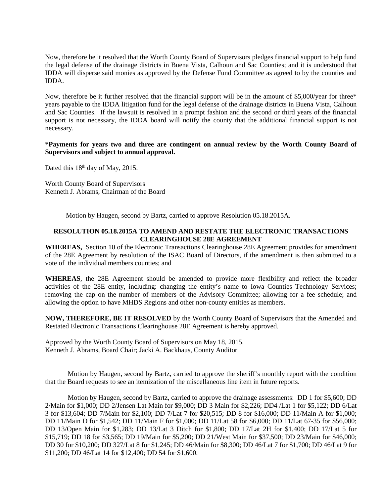Now, therefore be it resolved that the Worth County Board of Supervisors pledges financial support to help fund the legal defense of the drainage districts in Buena Vista, Calhoun and Sac Counties; and it is understood that IDDA will disperse said monies as approved by the Defense Fund Committee as agreed to by the counties and IDDA.

Now, therefore be it further resolved that the financial support will be in the amount of \$5,000/year for three\* years payable to the IDDA litigation fund for the legal defense of the drainage districts in Buena Vista, Calhoun and Sac Counties. If the lawsuit is resolved in a prompt fashion and the second or third years of the financial support is not necessary, the IDDA board will notify the county that the additional financial support is not necessary.

# **\*Payments for years two and three are contingent on annual review by the Worth County Board of Supervisors and subject to annual approval.**

Dated this  $18<sup>th</sup>$  day of May, 2015.

Worth County Board of Supervisors Kenneth J. Abrams, Chairman of the Board

Motion by Haugen, second by Bartz, carried to approve Resolution 05.18.2015A.

# **RESOLUTION 05.18.2015A TO AMEND AND RESTATE THE ELECTRONIC TRANSACTIONS CLEARINGHOUSE 28E AGREEMENT**

**WHEREAS,** Section 10 of the Electronic Transactions Clearinghouse 28E Agreement provides for amendment of the 28E Agreement by resolution of the ISAC Board of Directors, if the amendment is then submitted to a vote of the individual members counties; and

**WHEREAS**, the 28E Agreement should be amended to provide more flexibility and reflect the broader activities of the 28E entity, including: changing the entity's name to Iowa Counties Technology Services; removing the cap on the number of members of the Advisory Committee; allowing for a fee schedule; and allowing the option to have MHDS Regions and other non-county entities as members.

**NOW, THEREFORE, BE IT RESOLVED** by the Worth County Board of Supervisors that the Amended and Restated Electronic Transactions Clearinghouse 28E Agreement is hereby approved.

Approved by the Worth County Board of Supervisors on May 18, 2015. Kenneth J. Abrams, Board Chair; Jacki A. Backhaus, County Auditor

Motion by Haugen, second by Bartz, carried to approve the sheriff's monthly report with the condition that the Board requests to see an itemization of the miscellaneous line item in future reports.

Motion by Haugen, second by Bartz, carried to approve the drainage assessments: DD 1 for \$5,600; DD 2/Main for \$1,000; DD 2/Jensen Lat Main for \$9,000; DD 3 Main for \$2,226; DD4 /Lat 1 for \$5,122; DD 6/Lat 3 for \$13,604; DD 7/Main for \$2,100; DD 7/Lat 7 for \$20,515; DD 8 for \$16,000; DD 11/Main A for \$1,000; DD 11/Main D for \$1,542; DD 11/Main F for \$1,000; DD 11/Lat 58 for \$6,000; DD 11/Lat 67-35 for \$56,000; DD 13/Open Main for \$1,283; DD 13/Lat 3 Ditch for \$1,800; DD 17/Lat 2H for \$1,400; DD 17/Lat 5 for \$15,719; DD 18 for \$3,565; DD 19/Main for \$5,200; DD 21/West Main for \$37,500; DD 23/Main for \$46,000; DD 30 for \$10,200; DD 327/Lat 8 for \$1,245; DD 46/Main for \$8,300; DD 46/Lat 7 for \$1,700; DD 46/Lat 9 for \$11,200; DD 46/Lat 14 for \$12,400; DD 54 for \$1,600.